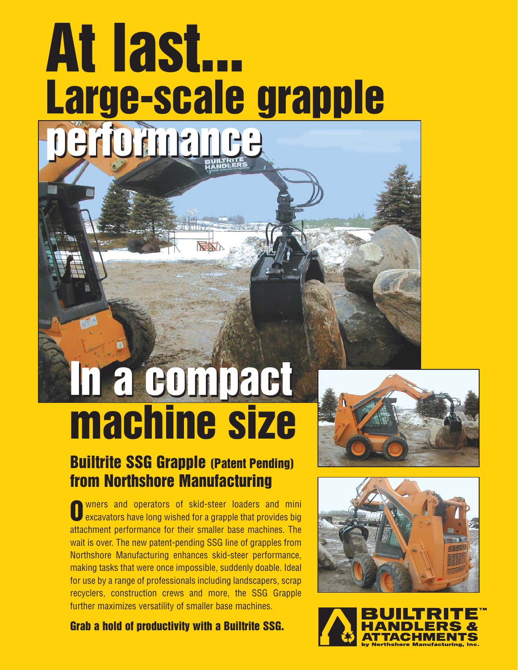# **performance performance At last... Large-scale grapple**

## **In a compact In a compact machine size**

#### **Builtrite SSG Grapple (Patent Pending) from Northshore Manufacturing**

wners and operators of skid-steer loaders and mini excavators have long wished for a grapple that provides big attachment performance for their smaller base machines. The wait is over. The new patent-pending SSG line of grapples from Northshore Manufacturing enhances skid-steer performance, making tasks that were once impossible, suddenly doable. Ideal for use by a range of professionals including landscapers, scrap recyclers, construction crews and more, the SSG Grapple further maximizes versatility of smaller base machines. **O**

**Grab a hold of productivity with a Builtrite SSG.**